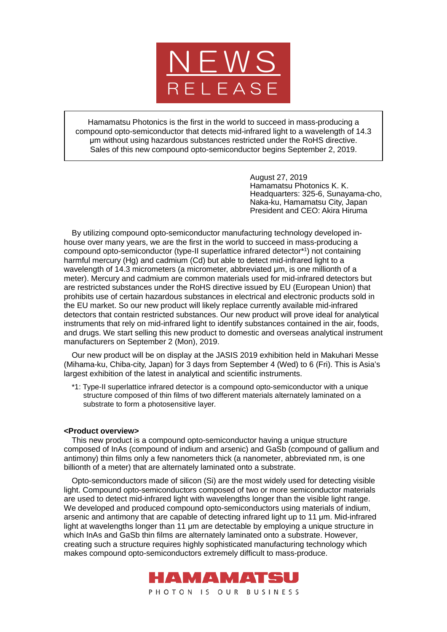

Hamamatsu Photonics is the first in the world to succeed in mass-producing a compound opto-semiconductor that detects mid-infrared light to a wavelength of 14.3 μm without using hazardous substances restricted under the RoHS directive. Sales of this new compound opto-semiconductor begins September 2, 2019.

> August 27, 2019 Hamamatsu Photonics K. K. Headquarters: 325-6, Sunayama-cho, Naka-ku, Hamamatsu City, Japan President and CEO: Akira Hiruma

By utilizing compound opto-semiconductor manufacturing technology developed inhouse over many years, we are the first in the world to succeed in mass-producing a compound opto-semiconductor (type-II superlattice infrared detector\*1) not containing harmful mercury (Hg) and cadmium (Cd) but able to detect mid-infrared light to a wavelength of 14.3 micrometers (a micrometer, abbreviated μm, is one millionth of a meter). Mercury and cadmium are common materials used for mid-infrared detectors but are restricted substances under the RoHS directive issued by EU (European Union) that prohibits use of certain hazardous substances in electrical and electronic products sold in the EU market. So our new product will likely replace currently available mid-infrared detectors that contain restricted substances. Our new product will prove ideal for analytical instruments that rely on mid-infrared light to identify substances contained in the air, foods, and drugs. We start selling this new product to domestic and overseas analytical instrument manufacturers on September 2 (Mon), 2019.

Our new product will be on display at the JASIS 2019 exhibition held in Makuhari Messe (Mihama-ku, Chiba-city, Japan) for 3 days from September 4 (Wed) to 6 (Fri). This is Asia's largest exhibition of the latest in analytical and scientific instruments.

\*1: Type-II superlattice infrared detector is a compound opto-semiconductor with a unique structure composed of thin films of two different materials alternately laminated on a substrate to form a photosensitive layer.

## **<Product overview>**

This new product is a compound opto-semiconductor having a unique structure composed of InAs (compound of indium and arsenic) and GaSb (compound of gallium and antimony) thin films only a few nanometers thick (a nanometer, abbreviated nm, is one billionth of a meter) that are alternately laminated onto a substrate.

Opto-semiconductors made of silicon (Si) are the most widely used for detecting visible light. Compound opto-semiconductors composed of two or more semiconductor materials are used to detect mid-infrared light with wavelengths longer than the visible light range. We developed and produced compound opto-semiconductors using materials of indium, arsenic and antimony that are capable of detecting infrared light up to 11 μm. Mid-infrared light at wavelengths longer than 11 μm are detectable by employing a unique structure in which InAs and GaSb thin films are alternately laminated onto a substrate. However, creating such a structure requires highly sophisticated manufacturing technology which makes compound opto-semiconductors extremely difficult to mass-produce.

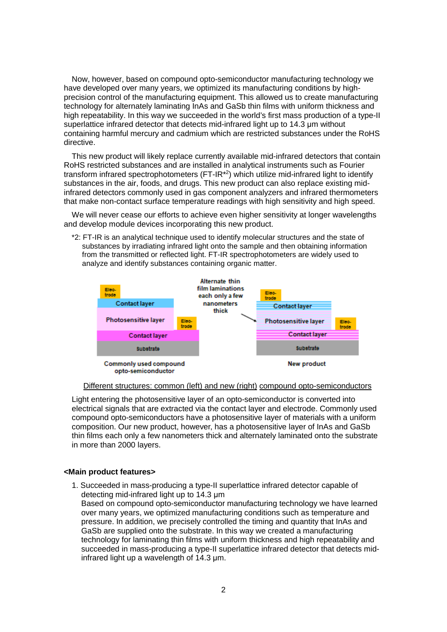Now, however, based on compound opto-semiconductor manufacturing technology we have developed over many years, we optimized its manufacturing conditions by highprecision control of the manufacturing equipment. This allowed us to create manufacturing technology for alternately laminating InAs and GaSb thin films with uniform thickness and high repeatability. In this way we succeeded in the world's first mass production of a type-II superlattice infrared detector that detects mid-infrared light up to 14.3 μm without containing harmful mercury and cadmium which are restricted substances under the RoHS directive.

This new product will likely replace currently available mid-infrared detectors that contain RoHS restricted substances and are installed in analytical instruments such as Fourier transform infrared spectrophotometers  $(FT-IR<sup>*</sup>)$  which utilize mid-infrared light to identify substances in the air, foods, and drugs. This new product can also replace existing midinfrared detectors commonly used in gas component analyzers and infrared thermometers that make non-contact surface temperature readings with high sensitivity and high speed.

We will never cease our efforts to achieve even higher sensitivity at longer wavelengths and develop module devices incorporating this new product.

\*2: FT-IR is an analytical technique used to identify molecular structures and the state of substances by irradiating infrared light onto the sample and then obtaining information from the transmitted or reflected light. FT-IR spectrophotometers are widely used to analyze and identify substances containing organic matter.



#### Different structures: common (left) and new (right) compound opto-semiconductors

Light entering the photosensitive layer of an opto-semiconductor is converted into electrical signals that are extracted via the contact layer and electrode. Commonly used compound opto-semiconductors have a photosensitive layer of materials with a uniform composition. Our new product, however, has a photosensitive layer of InAs and GaSb thin films each only a few nanometers thick and alternately laminated onto the substrate in more than 2000 layers.

## **<Main product features>**

1. Succeeded in mass-producing a type-II superlattice infrared detector capable of detecting mid-infrared light up to 14.3 μm Based on compound opto-semiconductor manufacturing technology we have learned over many years, we optimized manufacturing conditions such as temperature and pressure. In addition, we precisely controlled the timing and quantity that InAs and GaSb are supplied onto the substrate. In this way we created a manufacturing technology for laminating thin films with uniform thickness and high repeatability and succeeded in mass-producing a type-II superlattice infrared detector that detects midinfrared light up a wavelength of 14.3 μm.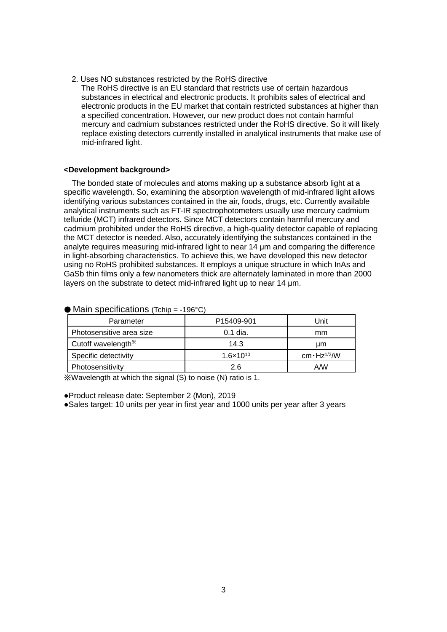2. Uses NO substances restricted by the RoHS directive The RoHS directive is an EU standard that restricts use of certain hazardous substances in electrical and electronic products. It prohibits sales of electrical and electronic products in the EU market that contain restricted substances at higher than a specified concentration. However, our new product does not contain harmful mercury and cadmium substances restricted under the RoHS directive. So it will likely replace existing detectors currently installed in analytical instruments that make use of mid-infrared light.

# **<Development background>**

The bonded state of molecules and atoms making up a substance absorb light at a specific wavelength. So, examining the absorption wavelength of mid-infrared light allows identifying various substances contained in the air, foods, drugs, etc. Currently available analytical instruments such as FT-IR spectrophotometers usually use mercury cadmium telluride (MCT) infrared detectors. Since MCT detectors contain harmful mercury and cadmium prohibited under the RoHS directive, a high-quality detector capable of replacing the MCT detector is needed. Also, accurately identifying the substances contained in the analyte requires measuring mid-infrared light to near 14 μm and comparing the difference in light-absorbing characteristics. To achieve this, we have developed this new detector using no RoHS prohibited substances. It employs a unique structure in which InAs and GaSb thin films only a few nanometers thick are alternately laminated in more than 2000 layers on the substrate to detect mid-infrared light up to near 14 μm.

| Parameter                      | P <sub>15409-901</sub> | Unit                            |
|--------------------------------|------------------------|---------------------------------|
| Photosensitive area size       | $0.1$ dia.             | mm                              |
| Cutoff wavelength <sup>*</sup> | 14.3                   | um                              |
| Specific detectivity           | $1.6 \times 10^{10}$   | cm $\cdot$ Hz <sup>1/2</sup> /W |
| Photosensitivity               | 2.6                    | A/W                             |

#### $\bullet$  Main specifications (Tchip = -196°C)

※Wavelength at which the signal (S) to noise (N) ratio is 1.

●Product release date: September 2 (Mon), 2019

●Sales target: 10 units per year in first year and 1000 units per year after 3 years